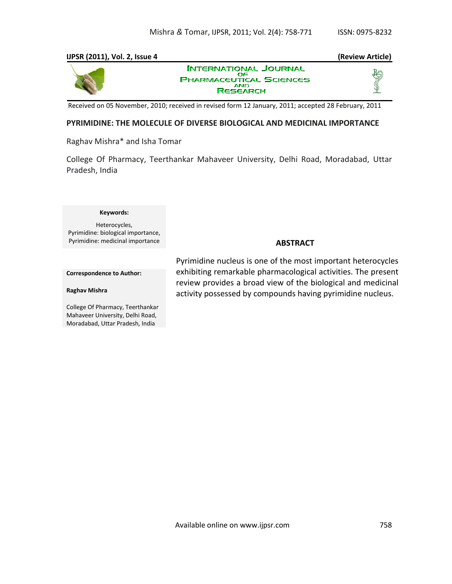### **IJPSR (2011), Vol. 2, Issue 4 (Review Article) INTERNATIONAL JOURNAL** OF OF SCIENCES **AND**

Received on 05 November, 2010; received in revised form 12 January, 2011; accepted 28 February, 2011

**RESEARCH** 

# **PYRIMIDINE: THE MOLECULE OF DIVERSE BIOLOGICAL AND MEDICINAL IMPORTANCE**

Raghav Mishra\* and Isha Tomar

College Of Pharmacy, Teerthankar Mahaveer University, Delhi Road, Moradabad, Uttar Pradesh, India

#### **Keywords:**

Heterocycles, Pyrimidine: biological importance, Pyrimidine: medicinal importance

# **ABSTRACT**

**Correspondence to Author:**

#### **Raghav Mishra**

College Of Pharmacy, Teerthankar Mahaveer University, Delhi Road, Moradabad, Uttar Pradesh, India

Pyrimidine nucleus is one of the most important heterocycles exhibiting remarkable pharmacological activities. The present review provides a broad view of the biological and medicinal activity possessed by compounds having pyrimidine nucleus.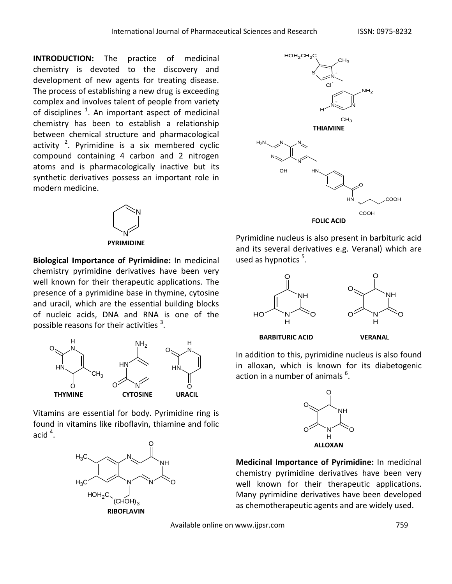**INTRODUCTION:** The practice of medicinal chemistry is devoted to the discovery and development of new agents for treating disease. The process of establishing a new drug is exceeding complex and involves talent of people from variety of disciplines  $^1$ . An important aspect of medicinal chemistry has been to establish a relationship between chemical structure and pharmacological activity  $2$ . Pyrimidine is a six membered cyclic compound containing 4 carbon and 2 nitrogen atoms and is pharmacologically inactive but its synthetic derivatives possess an important role in modern medicine.



**PYRIMIDINE**

**Biological Importance of Pyrimidine:** In medicinal chemistry pyrimidine derivatives have been very well known for their therapeutic applications. The presence of a pyrimidine base in thymine, cytosine and uracil, which are the essential building blocks of nucleic acids, DNA and RNA is one of the possible reasons for their activities  $^3$ .



Vitamins are essential for body. Pyrimidine ring is found in vitamins like riboflavin, thiamine and folic acid  $^4$ .





Pyrimidine nucleus is also present in barbituric acid and its several derivatives e.g. Veranal) which are used as hypnotics<sup>5</sup>.





**BARBITURIC ACID VERANAL** 

In addition to this, pyrimidine nucleus is also found in alloxan, which is known for its diabetogenic action in a number of animals  $^6$ .



**Medicinal Importance of Pyrimidine:** In medicinal chemistry pyrimidine derivatives have been very well known for their therapeutic applications. Many pyrimidine derivatives have been developed as chemotherapeutic agents and are widely used.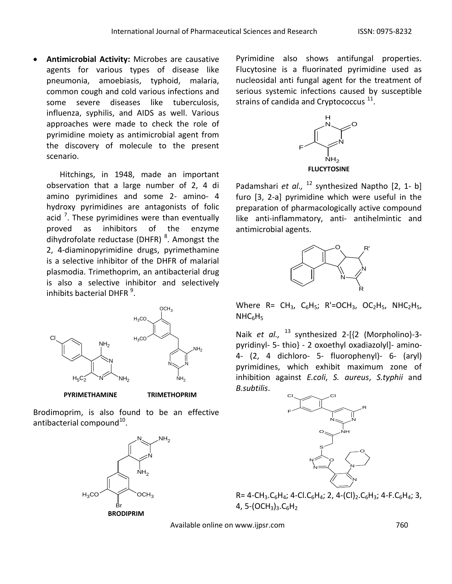**Antimicrobial Activity:** Microbes are causative agents for various types of disease like pneumonia, amoebiasis, typhoid, malaria, common cough and cold various infections and some severe diseases like tuberculosis, influenza, syphilis, and AIDS as well. Various approaches were made to check the role of pyrimidine moiety as antimicrobial agent from the discovery of molecule to the present scenario.

Hitchings, in 1948, made an important observation that a large number of 2, 4 di amino pyrimidines and some 2- amino- 4 hydroxy pyrimidines are antagonists of folic acid  $^7$ . These pyrimidines were than eventually proved as inhibitors of the enzyme dihydrofolate reductase (DHFR) <sup>8</sup>. Amongst the 2, 4-diaminopyrimidine drugs, pyrimethamine is a selective inhibitor of the DHFR of malarial plasmodia. Trimethoprim, an antibacterial drug is also a selective inhibitor and selectively inhibits bacterial DHFR  $^{9}$ .



 **PYRIMETHAMINE TRIMETHOPRIM**

Brodimoprim, is also found to be an effective antibacterial compound $^{10}$ .



Pyrimidine also shows antifungal properties. Flucytosine is a fluorinated pyrimidine used as nucleosidal anti fungal agent for the treatment of serious systemic infections caused by susceptible strains of candida and Cryptococcus  $^{11}$ .



Padamshari *et al.,* <sup>12</sup> synthesized Naptho [2, 1- b] furo [3, 2-a] pyrimidine which were useful in the preparation of pharmacologically active compound like anti-inflammatory, anti- antihelmintic and antimicrobial agents.



Where  $R=CH_3$ ,  $C_6H_5$ ;  $R'=OCH_3$ ,  $OC_2H_5$ ,  $NHC_2H_5$ ,  $NHC_6H_5$ 

Naik *et al.,* <sup>13</sup> synthesized 2-[{2 (Morpholino)-3pyridinyl- 5- thio} - 2 oxoethyl oxadiazolyl]- amino-4- (2, 4 dichloro- 5- fluorophenyl)- 6- (aryl) pyrimidines, which exhibit maximum zone of inhibition against *E.coli*, *S. aureus*, *S.typhii* and *B.subtilis*.



 $R = 4 - CH_3 \cdot C_6H_4$ ; 4-Cl. $C_6H_4$ ; 2, 4-(Cl)<sub>2</sub>.C<sub>6</sub>H<sub>3</sub>; 4-F.C<sub>6</sub>H<sub>4</sub>; 3, 4, 5- $(OCH_3)_3.C_6H_2$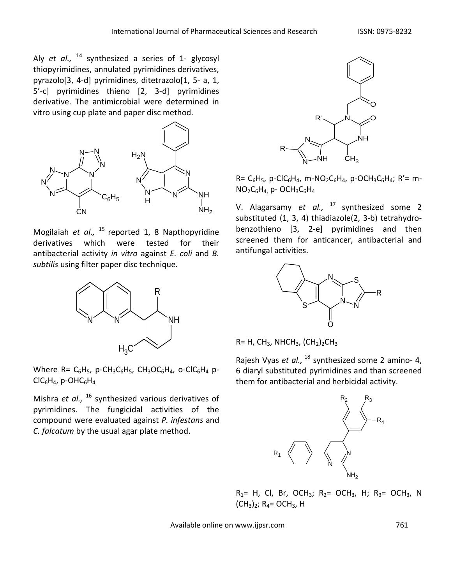Aly *et al.,* <sup>14</sup> synthesized a series of 1- glycosyl thiopyrimidines, annulated pyrimidines derivatives, pyrazolo[3, 4-d] pyrimidines, ditetrazolo[1, 5- a, 1, 5'-c] pyrimidines thieno [2, 3-d] pyrimidines derivative. The antimicrobial were determined in vitro using cup plate and paper disc method.



Mogilaiah et al., <sup>15</sup> reported 1, 8 Napthopyridine derivatives which were tested for their antibacterial activity *in vitro* against *E. coli* and *B. subtilis* using filter paper disc technique.



Where R=  $C_6H_5$ , p-CH<sub>3</sub>C<sub>6</sub>H<sub>5</sub>, CH<sub>3</sub>OC<sub>6</sub>H<sub>4</sub>, o-ClC<sub>6</sub>H<sub>4</sub> p- $ClC_6H_4$ , p-OHC $_6H_4$ 

Mishra *et al.,*  <sup>16</sup> synthesized various derivatives of pyrimidines. The fungicidal activities of the compound were evaluated against *P. infestans* and *C. falcatum* by the usual agar plate method.



 $R = C_6H_5$ , p-ClC<sub>6</sub>H<sub>4</sub>, m-NO<sub>2</sub>C<sub>6</sub>H<sub>4</sub>, p-OCH<sub>3</sub>C<sub>6</sub>H<sub>4</sub>; R'= m- $NO<sub>2</sub>C<sub>6</sub>H<sub>4</sub>$ , p- OCH<sub>3</sub>C<sub>6</sub>H<sub>4</sub>

V. Alagarsamy *et al.,* <sup>17</sup> synthesized some 2 substituted (1, 3, 4) thiadiazole(2, 3-b) tetrahydrobenzothieno [3, 2-e] pyrimidines and then screened them for anticancer, antibacterial and antifungal activities.



 $R= H$ , CH<sub>3</sub>, NHCH<sub>3</sub>, (CH<sub>2</sub>)<sub>2</sub>CH<sub>3</sub>

Rajesh Vyas *et al.,* <sup>18</sup> synthesized some 2 amino- 4, 6 diaryl substituted pyrimidines and than screened them for antibacterial and herbicidal activity.



 $R_1$ = H, Cl, Br, OCH<sub>3</sub>; R<sub>2</sub>= OCH<sub>3</sub>, H; R<sub>3</sub>= OCH<sub>3</sub>, N  $(CH_3)_2$ ; R<sub>4</sub>= OCH<sub>3</sub>, H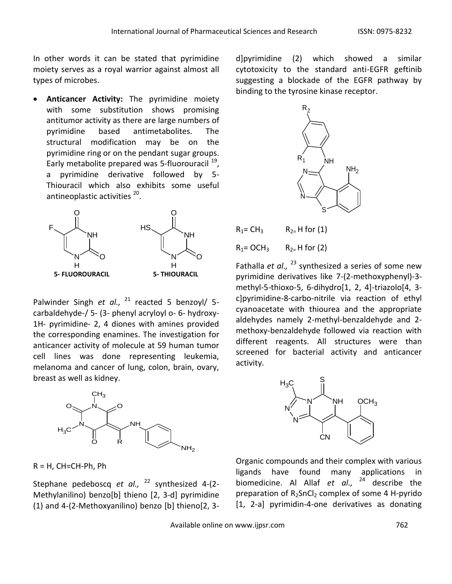In other words it can be stated that pyrimidine moiety serves as a royal warrior against almost all types of microbes.

 **Anticancer Activity:** The pyrimidine moiety with some substitution shows promising antitumor activity as there are large numbers of pyrimidine based antimetabolites. The structural modification may be on the pyrimidine ring or on the pendant sugar groups. Early metabolite prepared was 5-fluorouracil <sup>19</sup>, a pyrimidine derivative followed by 5- Thiouracil which also exhibits some useful antineoplastic activities <sup>20</sup>.



Palwinder Singh et al., <sup>21</sup> reacted 5 benzoyl/ 5carbaldehyde-/ 5- (3- phenyl acryloyl o- 6- hydroxy-1H- pyrimidine- 2, 4 diones with amines provided the corresponding enamines. The investigation for anticancer activity of molecule at 59 human tumor cell lines was done representing leukemia, melanoma and cancer of lung, colon, brain, ovary, breast as well as kidney.



 $R = H$ , CH=CH-Ph, Ph

Stephane pedeboscq *et al.,*  <sup>22</sup> synthesized 4-(2- Methylanilino) benzo[b] thieno [2, 3-d] pyrimidine (1) and 4-(2-Methoxyanilino) benzo [b] thieno[2, 3d]pyrimidine (2) which showed a similar cytotoxicity to the standard anti-EGFR geftinib suggesting a blockade of the EGFR pathway by binding to the tyrosine kinase receptor.



 $R_1 = CH_3$   $R_2 = H$  for (1)

 $R_1$ = OCH<sub>3</sub>  $R_2$ = H for (2)

Fathalla *et al.,* <sup>23</sup> synthesized a series of some new pyrimidine derivatives like 7-(2-methoxyphenyl)-3 methyl-5-thioxo-5, 6-dihydro[1, 2, 4]-triazolo[4, 3 c]pyrimidine-8-carbo-nitrile via reaction of ethyl cyanoacetate with thiourea and the appropriate aldehydes namely 2-methyl-benzaldehyde and 2 methoxy-benzaldehyde followed via reaction with different reagents. All structures were than screened for bacterial activity and anticancer activity.



Organic compounds and their complex with various ligands have found many applications in biomedicine. Al Allaf *et al.,* <sup>24</sup> describe the preparation of  $R_2$ SnCl<sub>2</sub> complex of some 4 H-pyrido [1, 2-a] pyrimidin-4-one derivatives as donating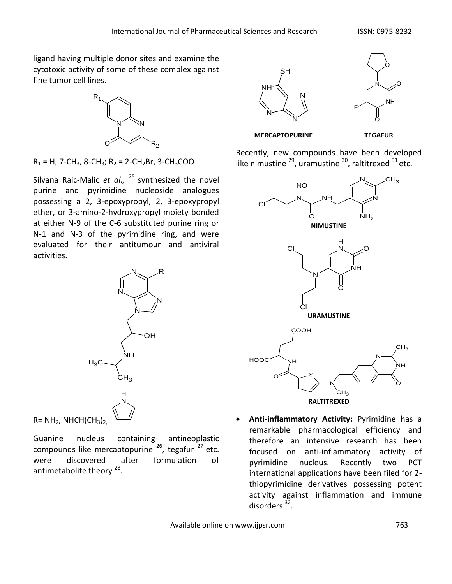ligand having multiple donor sites and examine the cytotoxic activity of some of these complex against fine tumor cell lines.



 $R_1 = H$ , 7-CH<sub>3</sub>, 8-CH<sub>3</sub>; R<sub>2</sub> = 2-CH<sub>2</sub>Br, 3-CH<sub>3</sub>COO

Silvana Raic-Malic *et al.,* <sup>25</sup> synthesized the novel purine and pyrimidine nucleoside analogues possessing a 2, 3-epoxypropyl, 2, 3-epoxypropyl ether, or 3-amino-2-hydroxypropyl moiety bonded at either N-9 of the C-6 substituted purine ring or N-1 and N-3 of the pyrimidine ring, and were evaluated for their antitumour and antiviral activities.



Guanine nucleus containing antineoplastic compounds like mercaptopurine <sup>26</sup>, tegafur <sup>27</sup> etc. were discovered after formulation of antimetabolite theory <sup>28</sup>.





 **MERCAPTOPURINE TEGAFUR**

Recently, new compounds have been developed like nimustine  $^{29}$ , uramustine  $^{30}$ , raltitrexed  $^{31}$  etc.



 **Anti-inflammatory Activity:** Pyrimidine has a remarkable pharmacological efficiency and therefore an intensive research has been focused on anti-inflammatory activity of pyrimidine nucleus. Recently two PCT international applications have been filed for 2 thiopyrimidine derivatives possessing potent activity against inflammation and immune disorders<sup>32</sup>.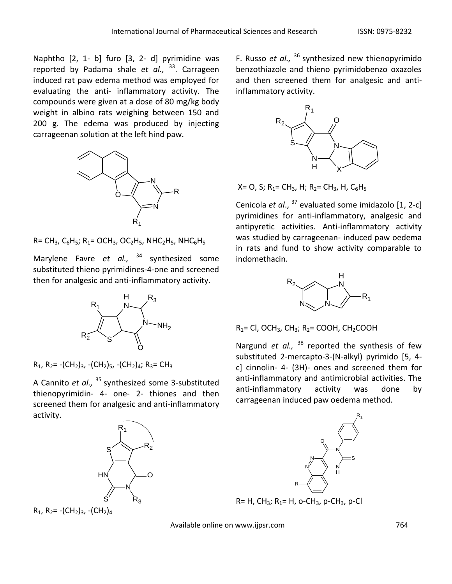Naphtho [2, 1- b] furo [3, 2- d] pyrimidine was reported by Padama shale *et al.,*  <sup>33</sup>. Carrageen induced rat paw edema method was employed for evaluating the anti- inflammatory activity. The compounds were given at a dose of 80 mg/kg body weight in albino rats weighing between 150 and 200 g. The edema was produced by injecting carrageenan solution at the left hind paw.



 $R = CH_3$ ,  $C_6H_5$ ;  $R_1 = OCH_3$ ,  $OC_2H_5$ ,  $NHC_2H_5$ ,  $NHC_6H_5$ 

Marylene Favre *et al.,*  <sup>34</sup> synthesized some substituted thieno pyrimidines-4-one and screened then for analgesic and anti-inflammatory activity.



 $R_1$ ,  $R_2$  = -(CH<sub>2</sub>)<sub>3</sub>, -(CH<sub>2</sub>)<sub>5</sub>, -(CH<sub>2</sub>)<sub>4</sub>; R<sub>3</sub> = CH<sub>3</sub>

A Cannito *et al.,*  <sup>35</sup> synthesized some 3-substituted thienopyrimidin- 4- one- 2- thiones and then screened them for analgesic and anti-inflammatory activity.



 $R_1$ ,  $R_2$ = -(CH<sub>2</sub>)<sub>3</sub>, -(CH<sub>2</sub>)<sub>4</sub>

F. Russo *et al.,*  <sup>36</sup> synthesized new thienopyrimido benzothiazole and thieno pyrimidobenzo oxazoles and then screened them for analgesic and antiinflammatory activity.



 $X=$  O, S; R<sub>1</sub>= CH<sub>3</sub>, H; R<sub>2</sub>= CH<sub>3</sub>, H, C<sub>6</sub>H<sub>5</sub>

Cenicola *et al*., <sup>37</sup> evaluated some imidazolo [1, 2-c] pyrimidines for anti-inflammatory, analgesic and antipyretic activities. Anti-inflammatory activity was studied by carrageenan- induced paw oedema in rats and fund to show activity comparable to indomethacin.



 $R_1 = CI$ , OCH<sub>3</sub>, CH<sub>3</sub>; R<sub>2</sub> = COOH, CH<sub>2</sub>COOH

Nargund *et al.,* <sup>38</sup> reported the synthesis of few substituted 2-mercapto-3-(N-alkyl) pyrimido [5, 4 c] cinnolin- 4- (3H)- ones and screened them for anti-inflammatory and antimicrobial activities. The anti-inflammatory activity was done by carrageenan induced paw oedema method.



 $R= H$ , CH<sub>3</sub>; R<sub>1</sub>= H, o-CH<sub>3</sub>, p-CH<sub>3</sub>, p-Cl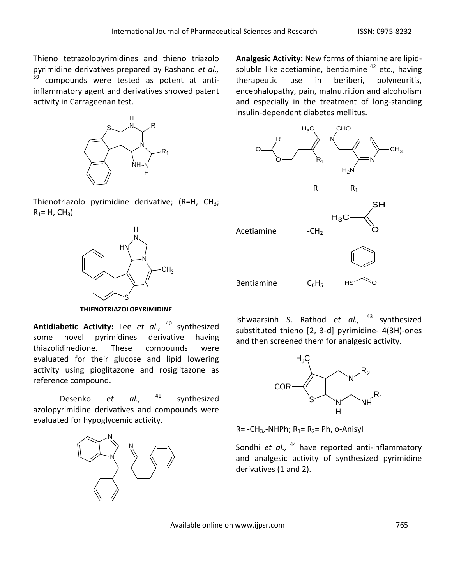Thieno tetrazolopyrimidines and thieno triazolo pyrimidine derivatives prepared by Rashand *et al.,*  $39$  compounds were tested as potent at antiinflammatory agent and derivatives showed patent activity in Carrageenan test.



Thienotriazolo pyrimidine derivative;  $(R=H, CH<sub>3</sub>;$  $R_1 = H$ ,  $CH_3$ )



**THIENOTRIAZOLOPYRIMIDINE**

**Antidiabetic Activity:** Lee *et al.,*  <sup>40</sup> synthesized some novel pyrimidines derivative having thiazolidinedione. These compounds were evaluated for their glucose and lipid lowering activity using pioglitazone and rosiglitazone as reference compound.

Desenko *et al.,* <sup>41</sup> synthesized azolopyrimidine derivatives and compounds were evaluated for hypoglycemic activity.



**Analgesic Activity:** New forms of thiamine are lipidsoluble like acetiamine, bentiamine  $42$  etc., having therapeutic use in beriberi, polyneuritis, encephalopathy, pain, malnutrition and alcoholism and especially in the treatment of long-standing insulin-dependent diabetes mellitus.



Ishwaarsinh S. Rathod *et al.,* <sup>43</sup> synthesized substituted thieno [2, 3-d] pyrimidine- 4(3H)-ones and then screened them for analgesic activity.



 $R = -CH<sub>3</sub>$ -NHPh;  $R<sub>1</sub>= R<sub>2</sub>= Ph$ , o-Anisyl

Sondhi *et al.,* <sup>44</sup> have reported anti-inflammatory and analgesic activity of synthesized pyrimidine derivatives (1 and 2).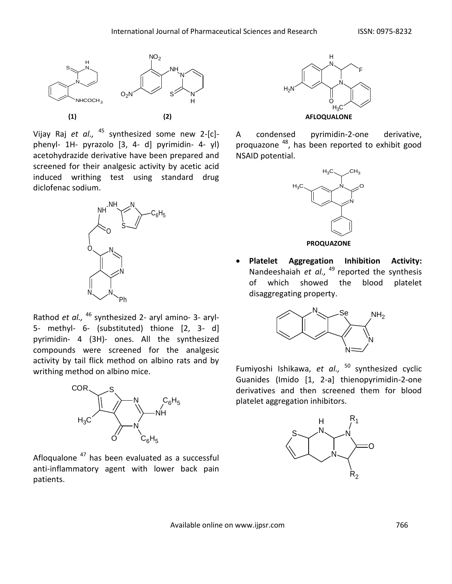

Vijay Raj *et al.,*  <sup>45</sup> synthesized some new 2-[c] phenyl- 1H- pyrazolo [3, 4- d] pyrimidin- 4- yl) acetohydrazide derivative have been prepared and screened for their analgesic activity by acetic acid induced writhing test using standard drug diclofenac sodium.



Rathod *et al.,*  <sup>46</sup> synthesized 2- aryl amino- 3- aryl-5- methyl- 6- (substituted) thione [2, 3- d] pyrimidin- 4 (3H)- ones. All the synthesized compounds were screened for the analgesic activity by tail flick method on albino rats and by writhing method on albino mice.



Afloqualone<sup>47</sup> has been evaluated as a successful anti-inflammatory agent with lower back pain patients.



A condensed pyrimidin-2-one derivative, proquazone <sup>48</sup>, has been reported to exhibit good NSAID potential.



**PROQUAZONE**

 **Platelet Aggregation Inhibition Activity:**  Nandeeshaiah et al., <sup>49</sup> reported the synthesis of which showed the blood platelet disaggregating property.



Fumiyoshi Ishikawa, *et al.,* <sup>50</sup> synthesized cyclic Guanides (Imido [1, 2-a] thienopyrimidin-2-one derivatives and then screened them for blood platelet aggregation inhibitors.

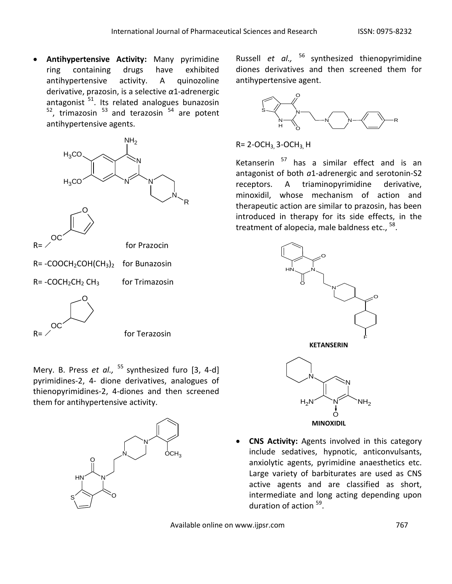**Antihypertensive Activity:** Many pyrimidine ring containing drugs have exhibited antihypertensive activity. A quinozoline derivative, prazosin, is a selective *α*1-adrenergic antagonist  $51$ . Its related analogues bunazosin  $52$ , trimazosin  $53$  and terazosin  $54$  are potent antihypertensive agents.



 $R=$  / OC

for Terazosin

Mery. B. Press *et al.,*  <sup>55</sup> synthesized furo [3, 4-d] pyrimidines-2, 4- dione derivatives, analogues of thienopyrimidines-2, 4-diones and then screened them for antihypertensive activity.



Russell *et al.,*  <sup>56</sup> synthesized thienopyrimidine diones derivatives and then screened them for antihypertensive agent.



 $R = 2$ -OCH<sub>3</sub>, 3-OCH<sub>3</sub>, H

Ketanserin  $57$  has a similar effect and is an antagonist of both *a*1-adrenergic and serotonin-S2 receptors. A triaminopyrimidine derivative, minoxidil, whose mechanism of action and therapeutic action are similar to prazosin, has been introduced in therapy for its side effects, in the treatment of alopecia, male baldness etc., <sup>58</sup>.



 **CNS Activity:** Agents involved in this category include sedatives, hypnotic, anticonvulsants, anxiolytic agents, pyrimidine anaesthetics etc. Large variety of barbiturates are used as CNS active agents and are classified as short, intermediate and long acting depending upon duration of action <sup>59</sup>.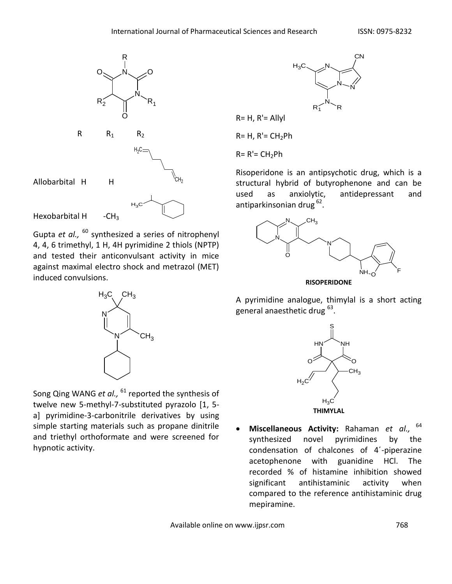

Gupta *et al.,*  <sup>60</sup> synthesized a series of nitrophenyl 4, 4, 6 trimethyl, 1 H, 4H pyrimidine 2 thiols (NPTP) and tested their anticonvulsant activity in mice against maximal electro shock and metrazol (MET) induced convulsions.



Song Qing WANG *et al.,* <sup>61</sup> reported the synthesis of twelve new 5-methyl-7-substituted pyrazolo [1, 5 a] pyrimidine-3-carbonitrile derivatives by using simple starting materials such as propane dinitrile and triethyl orthoformate and were screened for hypnotic activity.



 $R= H$ ,  $R' =$  Allyl

 $R= H$ ,  $R'= CH<sub>2</sub>Ph$ 

 $R = R' = CH_2Ph$ 

Risoperidone is an antipsychotic drug, which is a structural hybrid of butyrophenone and can be used as anxiolytic, antidepressant and antiparkinsonian drug <sup>62</sup>.



A pyrimidine analogue, thimylal is a short acting general anaesthetic drug <sup>63</sup>.



 **Miscellaneous Activity:** Rahaman *et al.,* 64 synthesized novel pyrimidines by the condensation of chalcones of 4΄-piperazine acetophenone with guanidine HCl. The recorded % of histamine inhibition showed significant antihistaminic activity when compared to the reference antihistaminic drug mepiramine.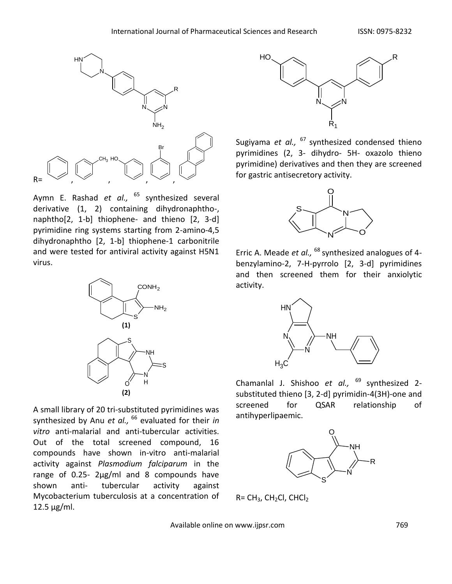

Aymn E. Rashad *et al.,*  <sup>65</sup> synthesized several derivative (1, 2) containing dihydronaphtho-, naphtho[2, 1-b] thiophene- and thieno [2, 3-d] pyrimidine ring systems starting from 2-amino-4,5 dihydronaphtho [2, 1-b] thiophene-1 carbonitrile and were tested for antiviral activity against H5N1 virus.



A small library of 20 tri-substituted pyrimidines was synthesized by Anu *et al.,* <sup>66</sup> evaluated for their *in vitro* anti-malarial and anti-tubercular activities. Out of the total screened compound, 16 compounds have shown in-vitro anti-malarial activity against *Plasmodium falciparum* in the range of 0.25- 2μg/ml and 8 compounds have shown anti- tubercular activity against Mycobacterium tuberculosis at a concentration of 12.5 μg/ml.



Sugiyama *et al.,*  <sup>67</sup> synthesized condensed thieno pyrimidines (2, 3- dihydro- 5H- oxazolo thieno pyrimidine) derivatives and then they are screened for gastric antisecretory activity.



Erric A. Meade *et al.,*  <sup>68</sup> synthesized analogues of 4 benzylamino-2, 7-H-pyrrolo [2, 3-d] pyrimidines and then screened them for their anxiolytic activity.



Chamanlal J. Shishoo *et al.,*  <sup>69</sup> synthesized 2 substituted thieno [3, 2-d] pyrimidin-4(3H)-one and screened for QSAR relationship of antihyperlipaemic.



 $R = CH<sub>3</sub>$ , CH<sub>2</sub>Cl, CHCl<sub>2</sub>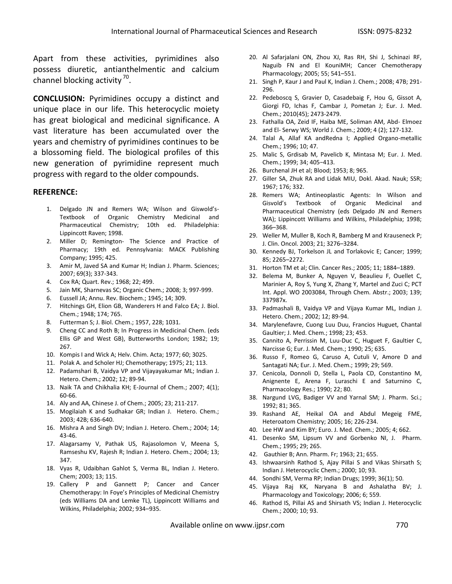Apart from these activities, pyrimidines also possess diuretic, antianthelmentic and calcium channel blocking activity<sup>70</sup>.

**CONCLUSION:** Pyrimidines occupy a distinct and unique place in our life. This heterocyclic moiety has great biological and medicinal significance. A vast literature has been accumulated over the years and chemistry of pyrimidines continues to be a blossoming field. The biological profiles of this new generation of pyrimidine represent much progress with regard to the older compounds.

### **REFERENCE:**

- 1. Delgado JN and Remers WA; Wilson and Giswold's-Textbook of Organic Chemistry Medicinal and Pharmaceutical Chemistry; 10th ed. Philadelphia: Lippincott Raven; 1998.
- 2. Miller D; Remington- The Science and Practice of Pharmacy; 19th ed. Pennsylvania: MACK Publishing Company; 1995; 425.
- 3. Amir M, Javed SA and Kumar H; Indian J. Pharm. Sciences; 2007; 69(3); 337-343.
- 4. Cox RA; Quart. Rev.; 1968; 22; 499.
- 5. Jain MK, Sharnevas SC; Organic Chem.; 2008; 3; 997-999.
- 6. Eussell JA; Annu. Rev. Biochem.; 1945; 14; 309.
- 7. Hitchings GH, Elion GB, Wanderers H and Falco EA; J. Biol. Chem.; 1948; 174; 765.
- 8. Futterman S; J. Biol. Chem.; 1957, 228; 1031.
- 9. Cheng CC and Roth B; In Progress in Medicinal Chem. (eds Ellis GP and West GB), Butterworths London; 1982; 19; 267.
- 10. Kompis I and Wick A; Helv. Chim. Acta; 1977; 60; 3025.
- 11. Polak A. and Scholer HJ; Chemotherapy; 1975; 21; 113.
- 12. Padamshari B, Vaidya VP and Vijayayakumar ML; Indian J. Hetero. Chem.; 2002; 12; 89-94.
- 13. Naik TA and Chikhalia KH; E-Journal of Chem.; 2007; 4(1); 60-66.
- 14. Aly and AA, Chinese J. of Chem.; 2005; 23; 211-217.
- 15. Mogilaiah K and Sudhakar GR; Indian J. Hetero. Chem.; 2003; 42B; 636-640.
- 16. Mishra A and Singh DV; Indian J. Hetero. Chem.; 2004; 14; 43-46.
- 17. Alagarsamy V, Pathak US, Rajasolomon V, Meena S, Ramseshu KV, Rajesh R; Indian J. Hetero. Chem.; 2004; 13; 347.
- 18. Vyas R, Udaibhan Gahlot S, Verma BL, Indian J. Hetero. Chem; 2003; 13; 115.
- 19. Callery P and Gannett P; Cancer and Cancer Chemotherapy: In Foye's Principles of Medicinal Chemistry (eds Williams DA and Lemke TL), Lippincott Williams and Wilkins, Philadelphia; 2002; 934–935.
- 20. Al Safarjalani ON, Zhou XJ, Ras RH, Shi J, Schinazi RF, Naguib FN and El KouniMH; Cancer Chemotherapy Pharmacology; 2005; 55; 541–551.
- 21. Singh P, Kaur J and Paul K, Indian J. Chem.; 2008; 47B; 291- 296.
- 22. Pedeboscq S, Gravier D, Casadebaig F, Hou G, Gissot A, Giorgi FD, Ichas F, Cambar J, Pometan J; Eur. J. Med. Chem.; 2010(45); 2473-2479.
- 23. Fathalla OA, Zeid IF, Haiba ME, Soliman AM, Abd- Elmoez and El- Serwy WS; World J. Chem.; 2009; 4 (2); 127-132.
- 24. Talal A, Allaf KA andRedna I; Applied Organo-metallic Chem.; 1996; 10; 47.
- 25. Malic S, Grdisab M, Pavelicb K, Mintasa M; Eur. J. Med. Chem.; 1999; 34; 405−413.
- 26. Burchenal JH et al; Blood; 1953; 8; 965.
- 27. Giller SA, Zhuk RA and Lidak MIU, Dokl. Akad. Nauk; SSR; 1967; 176; 332.
- 28. Remers WA; Antineoplastic Agents: In Wilson and Gisvold's Textbook of Organic Medicinal and Pharmaceutical Chemistry (eds Delgado JN and Remers WA); Lippincott Williams and Wilkins, Philadelphia; 1998; 366–368.
- 29. Weller M, Muller B, Koch R, Bamberg M and Krauseneck P; J. Clin. Oncol. 2003; 21; 3276–3284.
- 30. Kennedy BJ, Torkelson JL and Torlakovic E; Cancer; 1999; 85; 2265–2272.
- 31. Horton TM et al; Clin. Cancer Res.; 2005; 11; 1884–1889.
- 32. Belema M, Bunker A, Nguyen V, Beaulieu F, Ouellet C, Marinier A, Roy S, Yung X, Zhang Y, Martel and Zuci C; PCT Int. Appl. WO 2003084, Through Chem. Abstr.; 2003; 139; 337987x.
- 33. Padmashali B, Vaidya VP and Vijaya Kumar ML, Indian J. Hetero. Chem.; 2002; 12; 89-94.
- 34. Marylenefavre, Cuong Luu Duu, Francios Huguet, Chantal Gaultier; J. Med. Chem.; 1998; 23; 453.
- 35. Cannito A, Perrissin M, Luu-Duc C, Huguet F, Gaultier C, Narcisse G; Eur. J. Med. Chem.; 1990; 25; 635.
- 36. Russo F, Romeo G, Caruso A, Cutuli V, Amore D and Santagati NA; Eur. J. Med. Chem.; 1999; 29; 569.
- 37. Cenicola, Donnoli D, Stella L, Paola CD, Constantino M, Anignente E, Arena F, Luraschi E and Saturnino C, Pharmacology Res.; 1990; 22; 80.
- 38. Nargund LVG, Badiger VV and Yarnal SM; J. Pharm. Sci.; 1992; 81; 365.
- 39. Rashand AE, Heikal OA and Abdul Megeig FME, Heteroatom Chemistry; 2005; 16; 226-234.
- 40. Lee HW and Kim BY; Euro. J. Med. Chem.; 2005; 4; 662.
- 41. Desenko SM, Lipsum VV and Gorbenko NI, J. Pharm. Chem.; 1995; 29; 265.
- 42. Gauthier B; Ann. Pharm. Fr; 1963; 21; 655.
- 43. Ishwaarsinh Rathod S, Ajay Pillai S and Vikas Shirsath S; Indian J. Heterocyclic Chem.; 2000; 10; 93.
- 44. Sondhi SM, Verma RP; Indian Drugs; 1999; 36(1); 50.
- 45. Vijaya Raj KK, Naryana B and Ashalatha BV; J. Pharmacology and Toxicology; 2006; 6; 559.
- 46. Rathod IS, Pillai AS and Shirsath VS; Indian J. Heterocyclic Chem.; 2000; 10; 93.